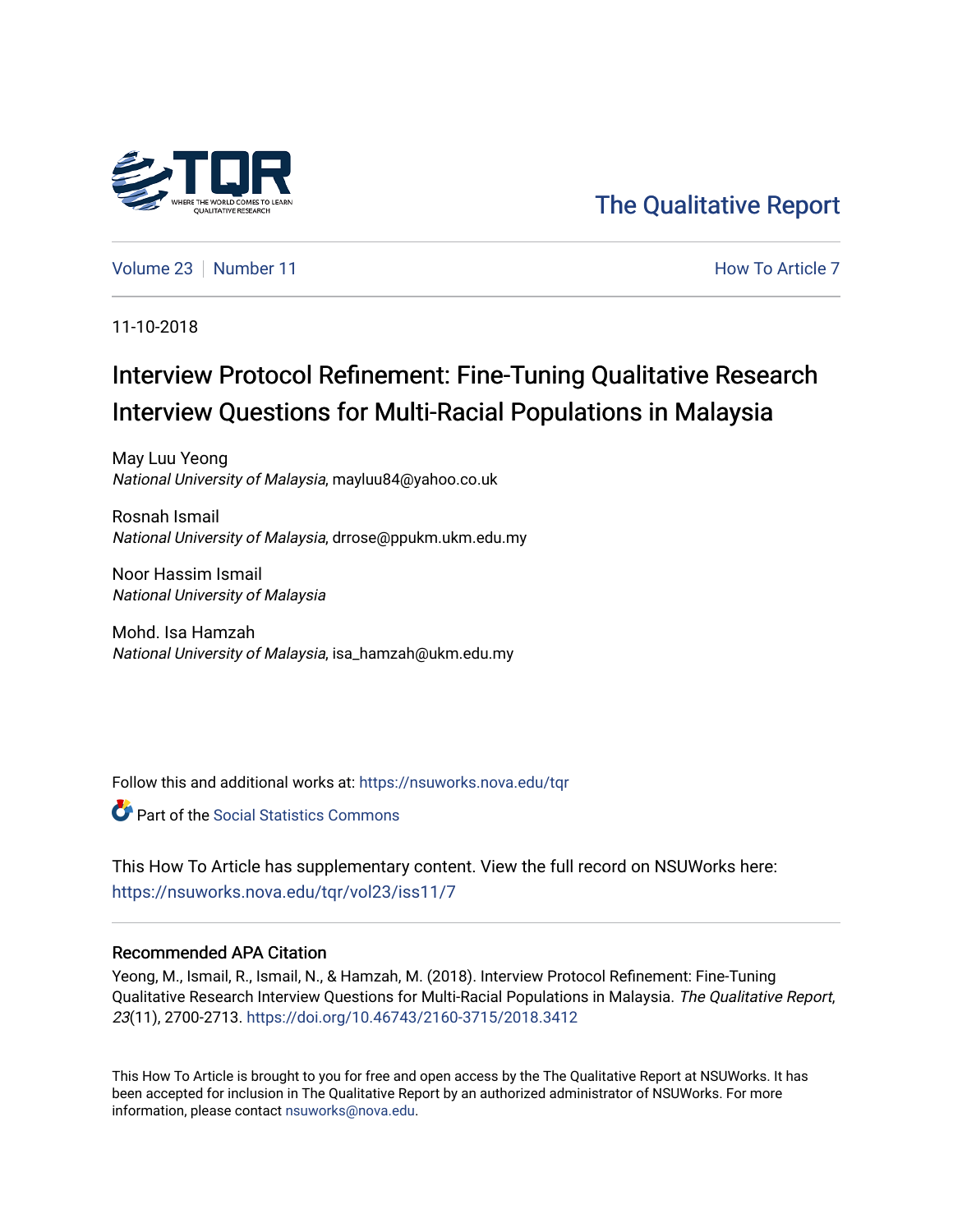

[The Qualitative Report](https://nsuworks.nova.edu/tqr) 

[Volume 23](https://nsuworks.nova.edu/tqr/vol23) [Number 11](https://nsuworks.nova.edu/tqr/vol23/iss11) **Number 11** According to Article 7 According to Article 7 According to Article 7 According to Article 7

11-10-2018

# Interview Protocol Refinement: Fine-Tuning Qualitative Research Interview Questions for Multi-Racial Populations in Malaysia

May Luu Yeong National University of Malaysia, mayluu84@yahoo.co.uk

Rosnah Ismail National University of Malaysia, drrose@ppukm.ukm.edu.my

Noor Hassim Ismail National University of Malaysia

Mohd. Isa Hamzah National University of Malaysia, isa\_hamzah@ukm.edu.my

Follow this and additional works at: [https://nsuworks.nova.edu/tqr](https://nsuworks.nova.edu/tqr?utm_source=nsuworks.nova.edu%2Ftqr%2Fvol23%2Fiss11%2F7&utm_medium=PDF&utm_campaign=PDFCoverPages) 

**C** Part of the [Social Statistics Commons](http://network.bepress.com/hgg/discipline/1275?utm_source=nsuworks.nova.edu%2Ftqr%2Fvol23%2Fiss11%2F7&utm_medium=PDF&utm_campaign=PDFCoverPages)

This How To Article has supplementary content. View the full record on NSUWorks here: <https://nsuworks.nova.edu/tqr/vol23/iss11/7>

### Recommended APA Citation

Yeong, M., Ismail, R., Ismail, N., & Hamzah, M. (2018). Interview Protocol Refinement: Fine-Tuning Qualitative Research Interview Questions for Multi-Racial Populations in Malaysia. The Qualitative Report, 23(11), 2700-2713. <https://doi.org/10.46743/2160-3715/2018.3412>

This How To Article is brought to you for free and open access by the The Qualitative Report at NSUWorks. It has been accepted for inclusion in The Qualitative Report by an authorized administrator of NSUWorks. For more information, please contact [nsuworks@nova.edu.](mailto:nsuworks@nova.edu)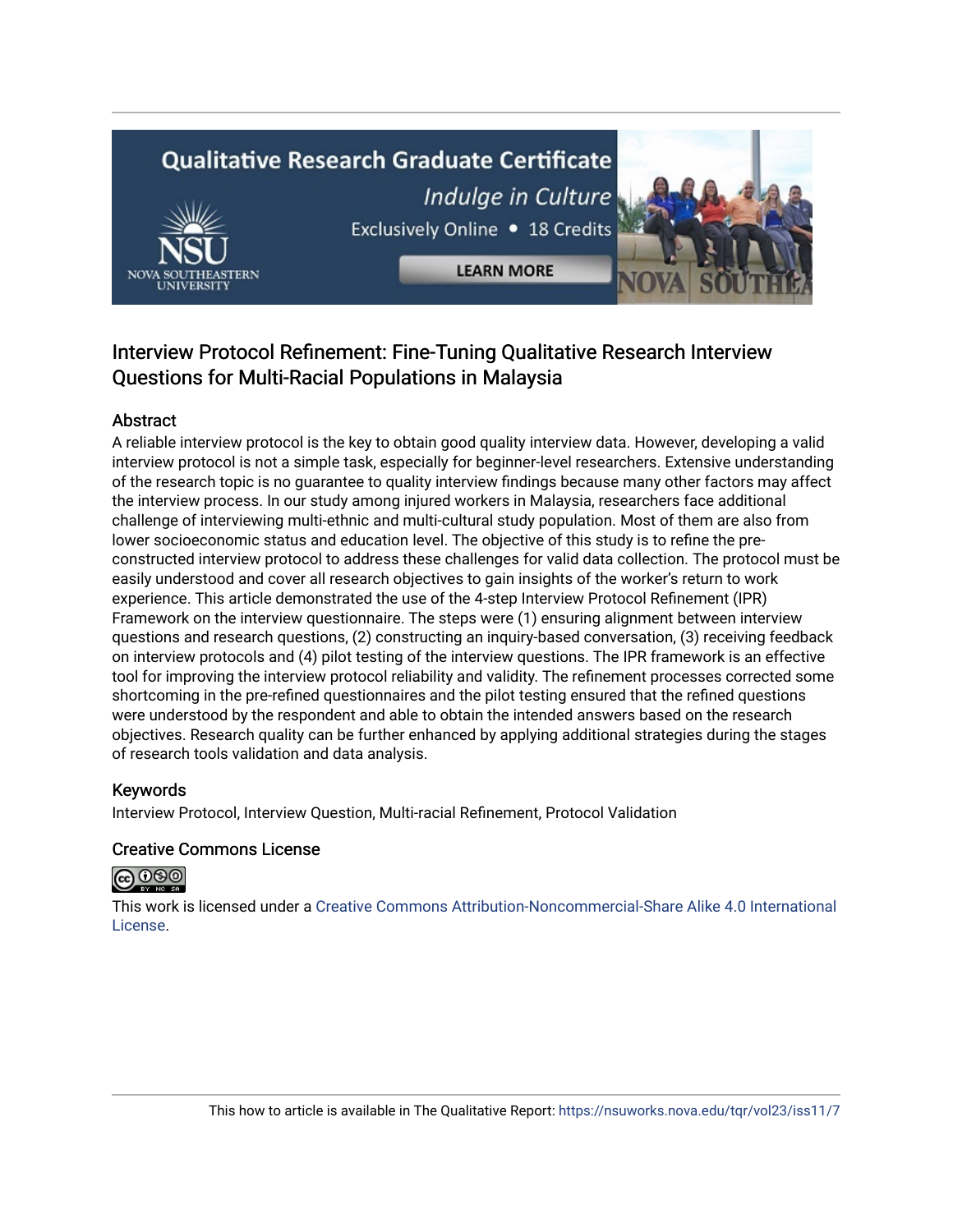# **Qualitative Research Graduate Certificate** Indulge in Culture Exclusively Online . 18 Credits



**LEARN MORE** 



## Interview Protocol Refinement: Fine-Tuning Qualitative Research Interview Questions for Multi-Racial Populations in Malaysia

## Abstract

A reliable interview protocol is the key to obtain good quality interview data. However, developing a valid interview protocol is not a simple task, especially for beginner-level researchers. Extensive understanding of the research topic is no guarantee to quality interview findings because many other factors may affect the interview process. In our study among injured workers in Malaysia, researchers face additional challenge of interviewing multi-ethnic and multi-cultural study population. Most of them are also from lower socioeconomic status and education level. The objective of this study is to refine the preconstructed interview protocol to address these challenges for valid data collection. The protocol must be easily understood and cover all research objectives to gain insights of the worker's return to work experience. This article demonstrated the use of the 4-step Interview Protocol Refinement (IPR) Framework on the interview questionnaire. The steps were (1) ensuring alignment between interview questions and research questions, (2) constructing an inquiry-based conversation, (3) receiving feedback on interview protocols and (4) pilot testing of the interview questions. The IPR framework is an effective tool for improving the interview protocol reliability and validity. The refinement processes corrected some shortcoming in the pre-refined questionnaires and the pilot testing ensured that the refined questions were understood by the respondent and able to obtain the intended answers based on the research objectives. Research quality can be further enhanced by applying additional strategies during the stages of research tools validation and data analysis.

## Keywords

Interview Protocol, Interview Question, Multi-racial Refinement, Protocol Validation

## Creative Commons License



This work is licensed under a [Creative Commons Attribution-Noncommercial-Share Alike 4.0 International](https://creativecommons.org/licenses/by-nc-sa/4.0/)  [License](https://creativecommons.org/licenses/by-nc-sa/4.0/).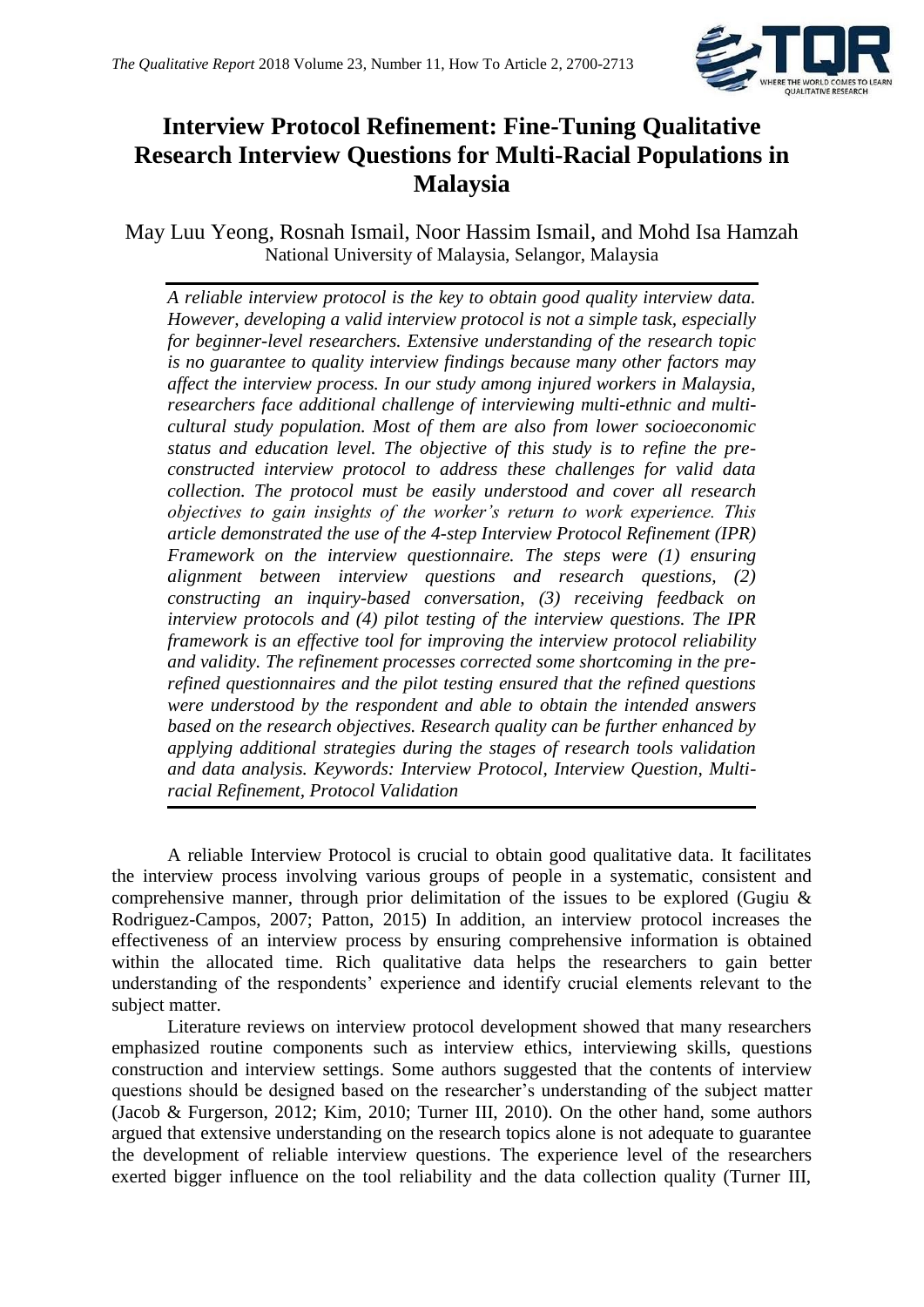

## **Interview Protocol Refinement: Fine-Tuning Qualitative Research Interview Questions for Multi-Racial Populations in Malaysia**

May Luu Yeong, Rosnah Ismail, Noor Hassim Ismail, and Mohd Isa Hamzah National University of Malaysia, Selangor, Malaysia

*A reliable interview protocol is the key to obtain good quality interview data. However, developing a valid interview protocol is not a simple task, especially for beginner-level researchers. Extensive understanding of the research topic is no guarantee to quality interview findings because many other factors may affect the interview process. In our study among injured workers in Malaysia, researchers face additional challenge of interviewing multi-ethnic and multicultural study population. Most of them are also from lower socioeconomic status and education level. The objective of this study is to refine the preconstructed interview protocol to address these challenges for valid data collection. The protocol must be easily understood and cover all research objectives to gain insights of the worker's return to work experience. This article demonstrated the use of the 4-step Interview Protocol Refinement (IPR) Framework on the interview questionnaire. The steps were (1) ensuring alignment between interview questions and research questions, (2) constructing an inquiry-based conversation, (3) receiving feedback on interview protocols and (4) pilot testing of the interview questions. The IPR framework is an effective tool for improving the interview protocol reliability and validity. The refinement processes corrected some shortcoming in the prerefined questionnaires and the pilot testing ensured that the refined questions were understood by the respondent and able to obtain the intended answers based on the research objectives. Research quality can be further enhanced by applying additional strategies during the stages of research tools validation and data analysis. Keywords: Interview Protocol, Interview Question, Multiracial Refinement, Protocol Validation*

A reliable Interview Protocol is crucial to obtain good qualitative data. It facilitates the interview process involving various groups of people in a systematic, consistent and comprehensive manner, through prior delimitation of the issues to be explored (Gugiu & Rodriguez-Campos, 2007; Patton, 2015) In addition, an interview protocol increases the effectiveness of an interview process by ensuring comprehensive information is obtained within the allocated time. Rich qualitative data helps the researchers to gain better understanding of the respondents' experience and identify crucial elements relevant to the subject matter.

Literature reviews on interview protocol development showed that many researchers emphasized routine components such as interview ethics, interviewing skills, questions construction and interview settings. Some authors suggested that the contents of interview questions should be designed based on the researcher's understanding of the subject matter (Jacob & Furgerson, 2012; Kim, 2010; Turner III, 2010). On the other hand, some authors argued that extensive understanding on the research topics alone is not adequate to guarantee the development of reliable interview questions. The experience level of the researchers exerted bigger influence on the tool reliability and the data collection quality (Turner III,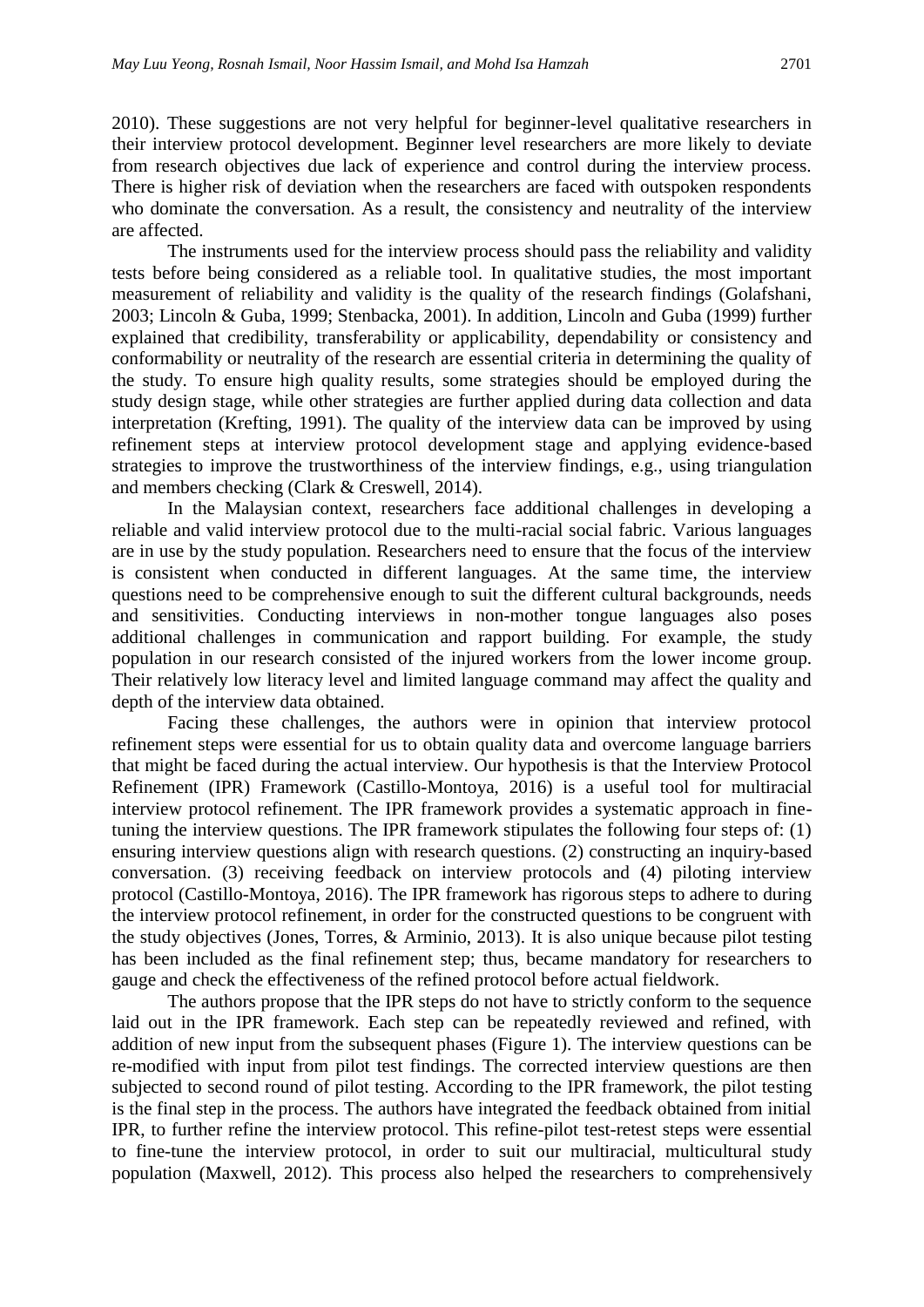2010). These suggestions are not very helpful for beginner-level qualitative researchers in their interview protocol development. Beginner level researchers are more likely to deviate from research objectives due lack of experience and control during the interview process. There is higher risk of deviation when the researchers are faced with outspoken respondents who dominate the conversation. As a result, the consistency and neutrality of the interview are affected.

The instruments used for the interview process should pass the reliability and validity tests before being considered as a reliable tool. In qualitative studies, the most important measurement of reliability and validity is the quality of the research findings (Golafshani, 2003; Lincoln & Guba, 1999; Stenbacka, 2001). In addition, Lincoln and Guba (1999) further explained that credibility, transferability or applicability, dependability or consistency and conformability or neutrality of the research are essential criteria in determining the quality of the study. To ensure high quality results, some strategies should be employed during the study design stage, while other strategies are further applied during data collection and data interpretation (Krefting, 1991). The quality of the interview data can be improved by using refinement steps at interview protocol development stage and applying evidence-based strategies to improve the trustworthiness of the interview findings, e.g., using triangulation and members checking (Clark & Creswell, 2014).

In the Malaysian context, researchers face additional challenges in developing a reliable and valid interview protocol due to the multi-racial social fabric. Various languages are in use by the study population. Researchers need to ensure that the focus of the interview is consistent when conducted in different languages. At the same time, the interview questions need to be comprehensive enough to suit the different cultural backgrounds, needs and sensitivities. Conducting interviews in non-mother tongue languages also poses additional challenges in communication and rapport building. For example, the study population in our research consisted of the injured workers from the lower income group. Their relatively low literacy level and limited language command may affect the quality and depth of the interview data obtained.

Facing these challenges, the authors were in opinion that interview protocol refinement steps were essential for us to obtain quality data and overcome language barriers that might be faced during the actual interview. Our hypothesis is that the Interview Protocol Refinement (IPR) Framework (Castillo-Montoya, 2016) is a useful tool for multiracial interview protocol refinement. The IPR framework provides a systematic approach in finetuning the interview questions. The IPR framework stipulates the following four steps of: (1) ensuring interview questions align with research questions. (2) constructing an inquiry-based conversation. (3) receiving feedback on interview protocols and (4) piloting interview protocol (Castillo-Montoya, 2016). The IPR framework has rigorous steps to adhere to during the interview protocol refinement, in order for the constructed questions to be congruent with the study objectives (Jones, Torres, & Arminio, 2013). It is also unique because pilot testing has been included as the final refinement step; thus, became mandatory for researchers to gauge and check the effectiveness of the refined protocol before actual fieldwork.

The authors propose that the IPR steps do not have to strictly conform to the sequence laid out in the IPR framework. Each step can be repeatedly reviewed and refined, with addition of new input from the subsequent phases (Figure 1). The interview questions can be re-modified with input from pilot test findings. The corrected interview questions are then subjected to second round of pilot testing. According to the IPR framework, the pilot testing is the final step in the process. The authors have integrated the feedback obtained from initial IPR, to further refine the interview protocol. This refine-pilot test-retest steps were essential to fine-tune the interview protocol, in order to suit our multiracial, multicultural study population (Maxwell, 2012). This process also helped the researchers to comprehensively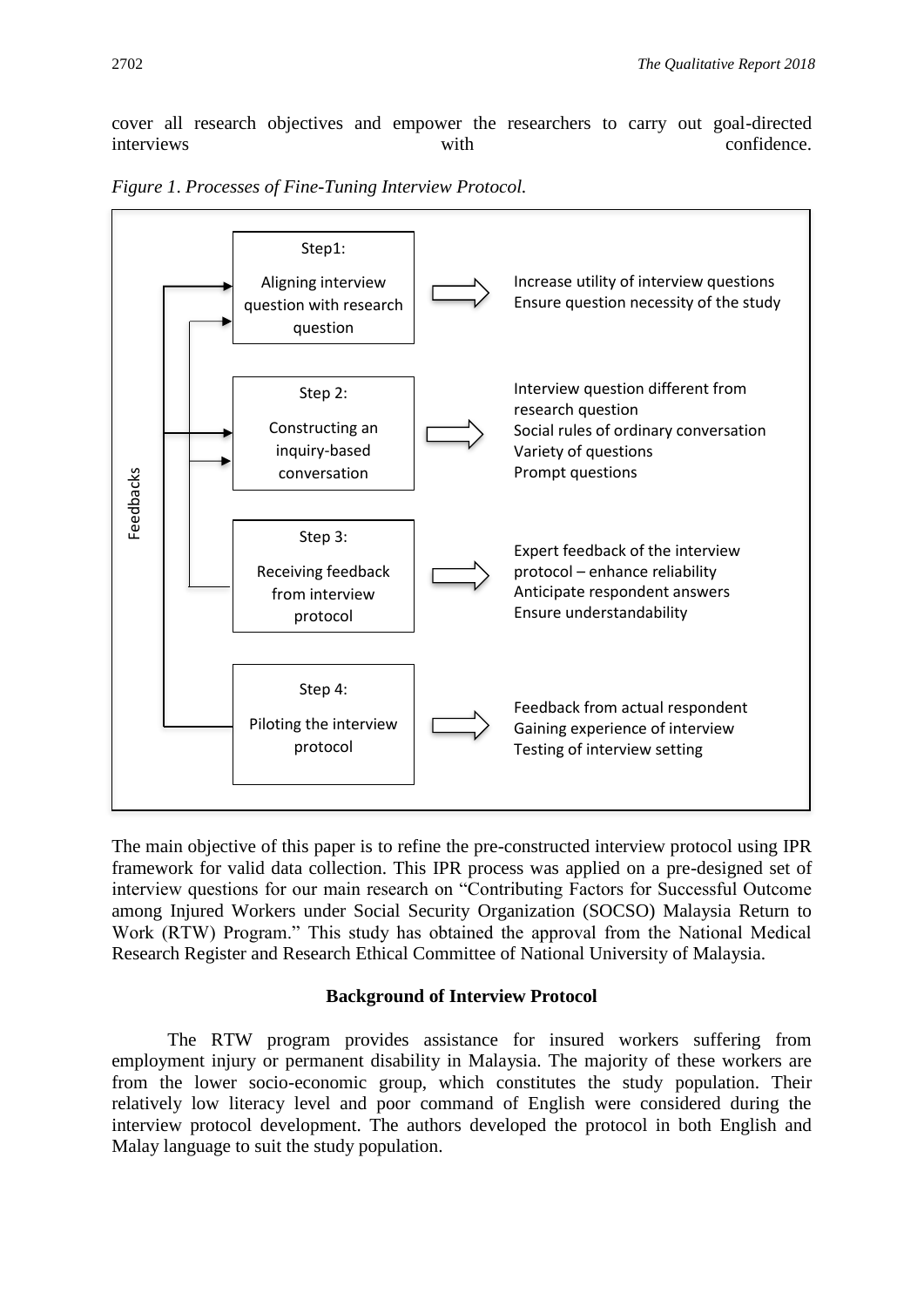cover all research objectives and empower the researchers to carry out goal-directed interviews with with confidence.



*Figure 1*. *Processes of Fine-Tuning Interview Protocol.*

The main objective of this paper is to refine the pre-constructed interview protocol using IPR framework for valid data collection. This IPR process was applied on a pre-designed set of interview questions for our main research on "Contributing Factors for Successful Outcome among Injured Workers under Social Security Organization (SOCSO) Malaysia Return to Work (RTW) Program." This study has obtained the approval from the National Medical Research Register and Research Ethical Committee of National University of Malaysia.

### **Background of Interview Protocol**

The RTW program provides assistance for insured workers suffering from employment injury or permanent disability in Malaysia. The majority of these workers are from the lower socio-economic group, which constitutes the study population. Their relatively low literacy level and poor command of English were considered during the interview protocol development. The authors developed the protocol in both English and Malay language to suit the study population.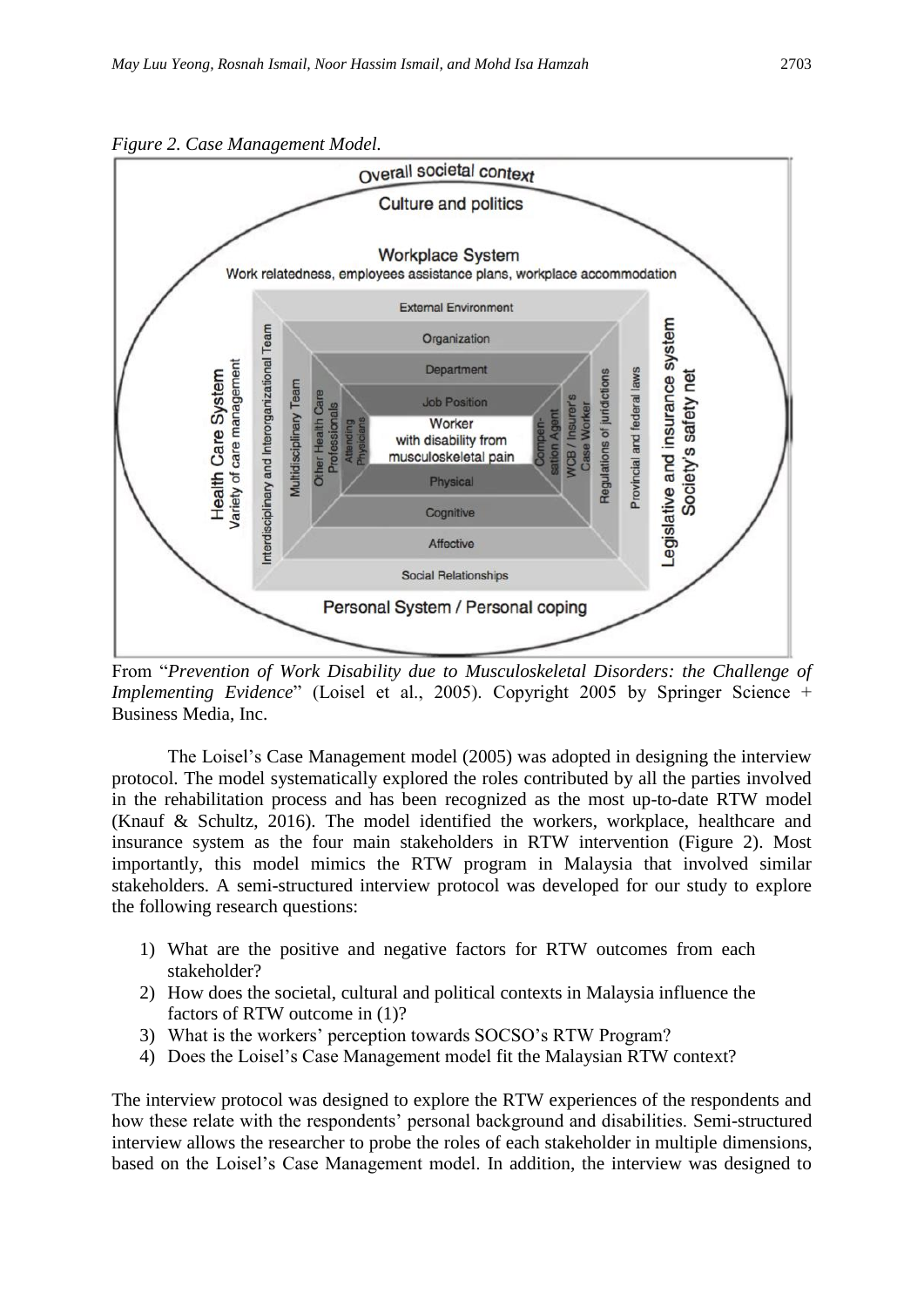



From "*Prevention of Work Disability due to Musculoskeletal Disorders: the Challenge of Implementing Evidence*" (Loisel et al., 2005). Copyright 2005 by Springer Science + Business Media, Inc.

The Loisel's Case Management model (2005) was adopted in designing the interview protocol. The model systematically explored the roles contributed by all the parties involved in the rehabilitation process and has been recognized as the most up-to-date RTW model (Knauf & Schultz, 2016). The model identified the workers, workplace, healthcare and insurance system as the four main stakeholders in RTW intervention (Figure 2). Most importantly, this model mimics the RTW program in Malaysia that involved similar stakeholders. A semi-structured interview protocol was developed for our study to explore the following research questions:

- 1) What are the positive and negative factors for RTW outcomes from each stakeholder?
- 2) How does the societal, cultural and political contexts in Malaysia influence the factors of RTW outcome in (1)?
- 3) What is the workers' perception towards SOCSO's RTW Program?
- 4) Does the Loisel's Case Management model fit the Malaysian RTW context?

The interview protocol was designed to explore the RTW experiences of the respondents and how these relate with the respondents' personal background and disabilities. Semi-structured interview allows the researcher to probe the roles of each stakeholder in multiple dimensions, based on the Loisel's Case Management model. In addition, the interview was designed to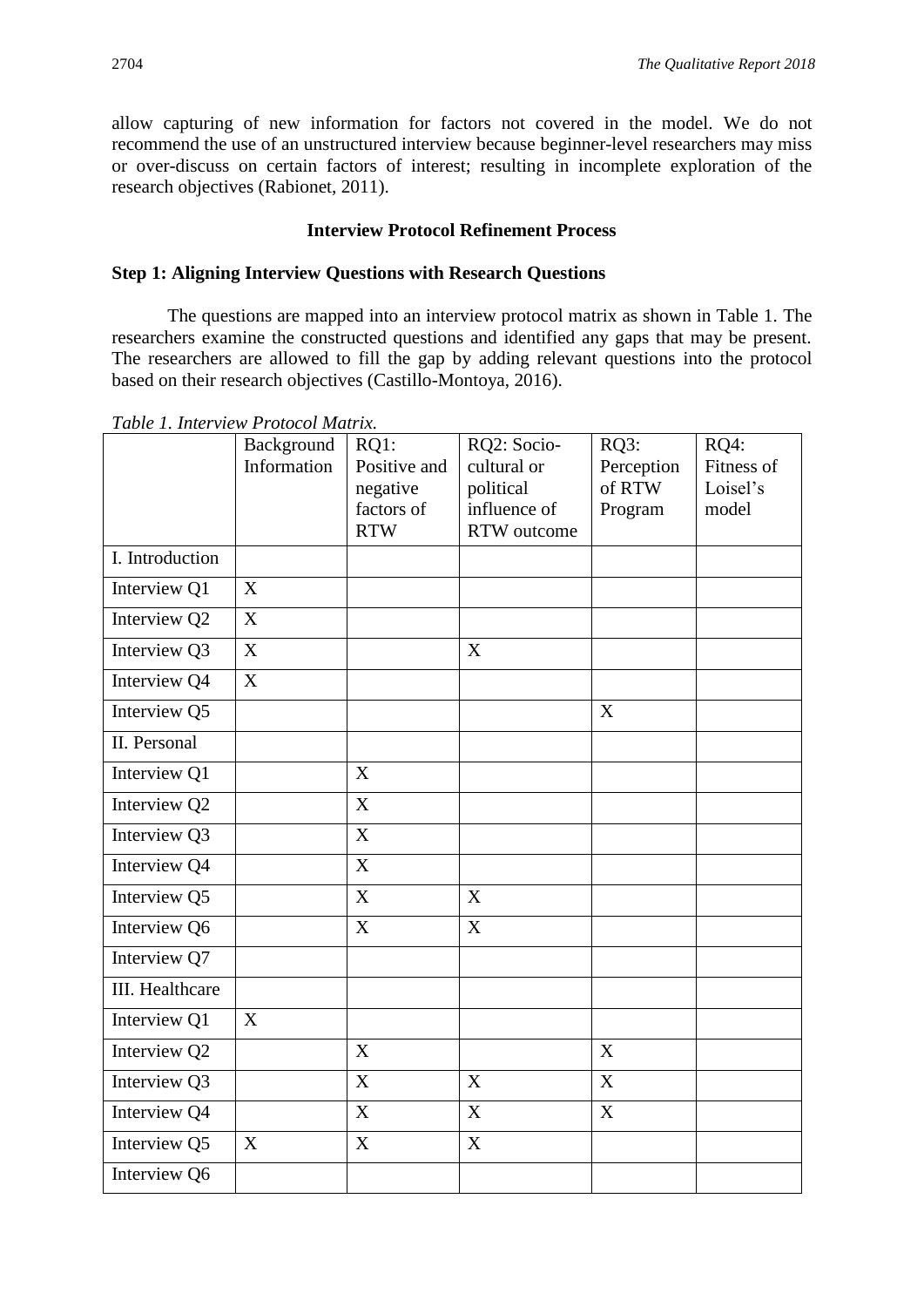allow capturing of new information for factors not covered in the model. We do not recommend the use of an unstructured interview because beginner-level researchers may miss or over-discuss on certain factors of interest; resulting in incomplete exploration of the research objectives (Rabionet, 2011).

## **Interview Protocol Refinement Process**

## **Step 1: Aligning Interview Questions with Research Questions**

The questions are mapped into an interview protocol matrix as shown in Table 1. The researchers examine the constructed questions and identified any gaps that may be present. The researchers are allowed to fill the gap by adding relevant questions into the protocol based on their research objectives (Castillo-Montoya, 2016).

*Table 1. Interview Protocol Matrix.*

|                 | Background                | $RQ1$ :                   | RQ2: Socio-               | RQ3:        | RQ4:       |
|-----------------|---------------------------|---------------------------|---------------------------|-------------|------------|
|                 | Information               | Positive and              | cultural or               | Perception  | Fitness of |
|                 |                           | negative                  | political                 | of RTW      | Loisel's   |
|                 |                           | factors of                | influence of              | Program     | model      |
|                 |                           | <b>RTW</b>                | RTW outcome               |             |            |
| I. Introduction |                           |                           |                           |             |            |
| Interview Q1    | X                         |                           |                           |             |            |
| Interview Q2    | $\mathbf X$               |                           |                           |             |            |
| Interview Q3    | $\mathbf X$               |                           | X                         |             |            |
| Interview Q4    | X                         |                           |                           |             |            |
| Interview Q5    |                           |                           |                           | X           |            |
| II. Personal    |                           |                           |                           |             |            |
| Interview Q1    |                           | X                         |                           |             |            |
| Interview Q2    |                           | $\mathbf X$               |                           |             |            |
| Interview Q3    |                           | $\overline{X}$            |                           |             |            |
| Interview Q4    |                           | $\boldsymbol{\mathrm{X}}$ |                           |             |            |
| Interview Q5    |                           | $\boldsymbol{X}$          | $\mathbf X$               |             |            |
| Interview Q6    |                           | X                         | X                         |             |            |
| Interview Q7    |                           |                           |                           |             |            |
| III. Healthcare |                           |                           |                           |             |            |
| Interview Q1    | $\boldsymbol{\mathrm{X}}$ |                           |                           |             |            |
| Interview Q2    |                           | X                         |                           | X           |            |
| Interview Q3    |                           | $\boldsymbol{\mathrm{X}}$ | $\boldsymbol{\mathrm{X}}$ | X           |            |
| Interview Q4    |                           | $\mathbf X$               | $\boldsymbol{\mathrm{X}}$ | $\mathbf X$ |            |
| Interview Q5    | $\mathbf X$               | $\mathbf X$               | X                         |             |            |
| Interview Q6    |                           |                           |                           |             |            |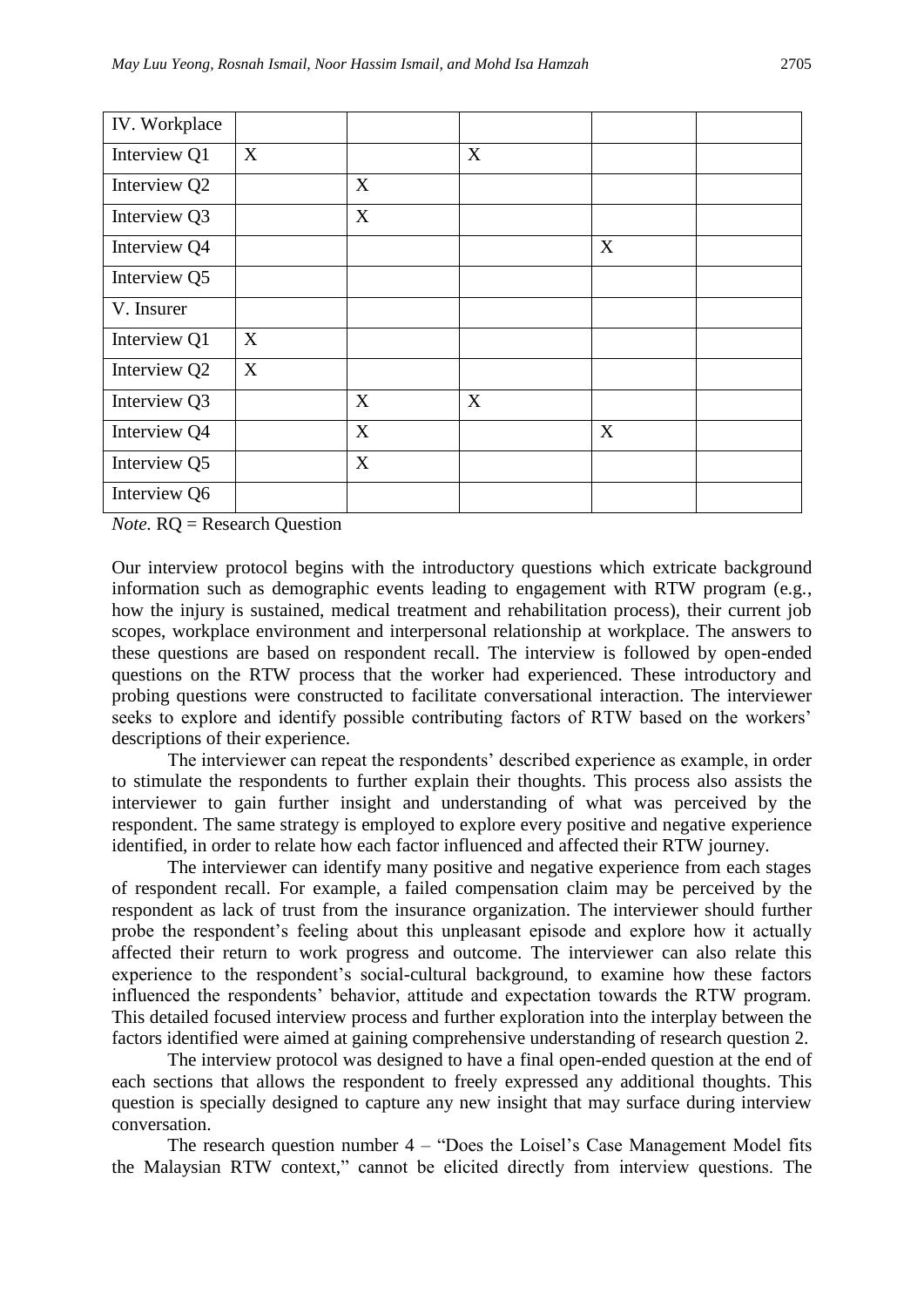| IV. Workplace |   |   |   |   |  |
|---------------|---|---|---|---|--|
| Interview Q1  | X |   | X |   |  |
| Interview Q2  |   | X |   |   |  |
| Interview Q3  |   | X |   |   |  |
| Interview Q4  |   |   |   | X |  |
| Interview Q5  |   |   |   |   |  |
| V. Insurer    |   |   |   |   |  |
| Interview Q1  | X |   |   |   |  |
| Interview Q2  | X |   |   |   |  |
| Interview Q3  |   | X | X |   |  |
| Interview Q4  |   | X |   | X |  |
| Interview Q5  |   | X |   |   |  |
| Interview Q6  |   |   |   |   |  |

*Note.* RQ = Research Question

Our interview protocol begins with the introductory questions which extricate background information such as demographic events leading to engagement with RTW program (e.g., how the injury is sustained, medical treatment and rehabilitation process), their current job scopes, workplace environment and interpersonal relationship at workplace. The answers to these questions are based on respondent recall. The interview is followed by open-ended questions on the RTW process that the worker had experienced. These introductory and probing questions were constructed to facilitate conversational interaction. The interviewer seeks to explore and identify possible contributing factors of RTW based on the workers' descriptions of their experience.

The interviewer can repeat the respondents' described experience as example, in order to stimulate the respondents to further explain their thoughts. This process also assists the interviewer to gain further insight and understanding of what was perceived by the respondent. The same strategy is employed to explore every positive and negative experience identified, in order to relate how each factor influenced and affected their RTW journey.

The interviewer can identify many positive and negative experience from each stages of respondent recall. For example, a failed compensation claim may be perceived by the respondent as lack of trust from the insurance organization. The interviewer should further probe the respondent's feeling about this unpleasant episode and explore how it actually affected their return to work progress and outcome. The interviewer can also relate this experience to the respondent's social-cultural background, to examine how these factors influenced the respondents' behavior, attitude and expectation towards the RTW program. This detailed focused interview process and further exploration into the interplay between the factors identified were aimed at gaining comprehensive understanding of research question 2.

The interview protocol was designed to have a final open-ended question at the end of each sections that allows the respondent to freely expressed any additional thoughts. This question is specially designed to capture any new insight that may surface during interview conversation.

The research question number 4 – "Does the Loisel's Case Management Model fits the Malaysian RTW context," cannot be elicited directly from interview questions. The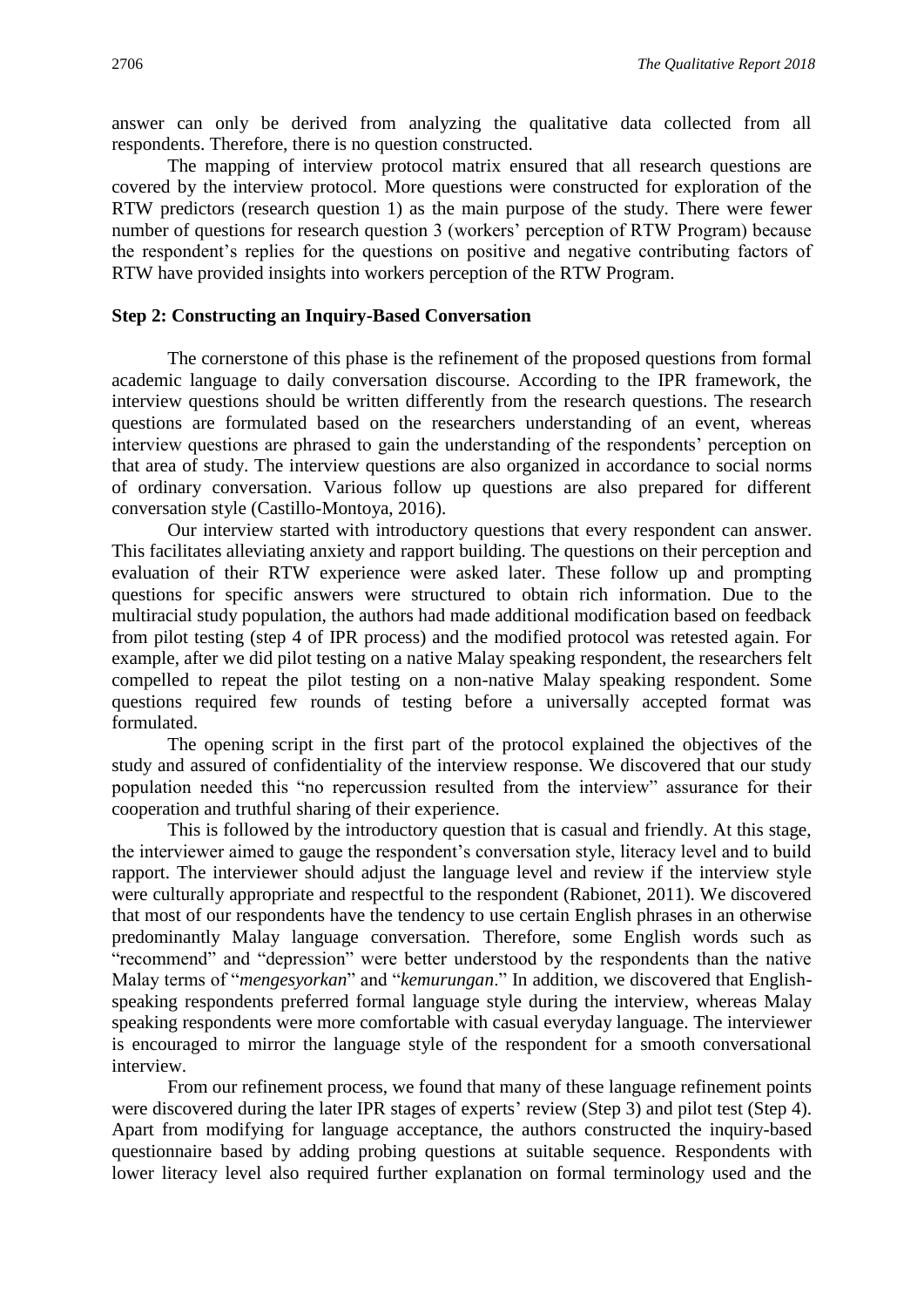answer can only be derived from analyzing the qualitative data collected from all respondents. Therefore, there is no question constructed.

The mapping of interview protocol matrix ensured that all research questions are covered by the interview protocol. More questions were constructed for exploration of the RTW predictors (research question 1) as the main purpose of the study. There were fewer number of questions for research question 3 (workers' perception of RTW Program) because the respondent's replies for the questions on positive and negative contributing factors of RTW have provided insights into workers perception of the RTW Program.

## **Step 2: Constructing an Inquiry-Based Conversation**

The cornerstone of this phase is the refinement of the proposed questions from formal academic language to daily conversation discourse. According to the IPR framework, the interview questions should be written differently from the research questions. The research questions are formulated based on the researchers understanding of an event, whereas interview questions are phrased to gain the understanding of the respondents' perception on that area of study. The interview questions are also organized in accordance to social norms of ordinary conversation. Various follow up questions are also prepared for different conversation style (Castillo-Montoya, 2016).

Our interview started with introductory questions that every respondent can answer. This facilitates alleviating anxiety and rapport building. The questions on their perception and evaluation of their RTW experience were asked later. These follow up and prompting questions for specific answers were structured to obtain rich information. Due to the multiracial study population, the authors had made additional modification based on feedback from pilot testing (step 4 of IPR process) and the modified protocol was retested again. For example, after we did pilot testing on a native Malay speaking respondent, the researchers felt compelled to repeat the pilot testing on a non-native Malay speaking respondent. Some questions required few rounds of testing before a universally accepted format was formulated.

The opening script in the first part of the protocol explained the objectives of the study and assured of confidentiality of the interview response. We discovered that our study population needed this "no repercussion resulted from the interview" assurance for their cooperation and truthful sharing of their experience.

This is followed by the introductory question that is casual and friendly. At this stage, the interviewer aimed to gauge the respondent's conversation style, literacy level and to build rapport. The interviewer should adjust the language level and review if the interview style were culturally appropriate and respectful to the respondent (Rabionet, 2011). We discovered that most of our respondents have the tendency to use certain English phrases in an otherwise predominantly Malay language conversation. Therefore, some English words such as "recommend" and "depression" were better understood by the respondents than the native Malay terms of "*mengesyorkan*" and "*kemurungan*." In addition, we discovered that Englishspeaking respondents preferred formal language style during the interview, whereas Malay speaking respondents were more comfortable with casual everyday language. The interviewer is encouraged to mirror the language style of the respondent for a smooth conversational interview.

From our refinement process, we found that many of these language refinement points were discovered during the later IPR stages of experts' review (Step 3) and pilot test (Step 4). Apart from modifying for language acceptance, the authors constructed the inquiry-based questionnaire based by adding probing questions at suitable sequence. Respondents with lower literacy level also required further explanation on formal terminology used and the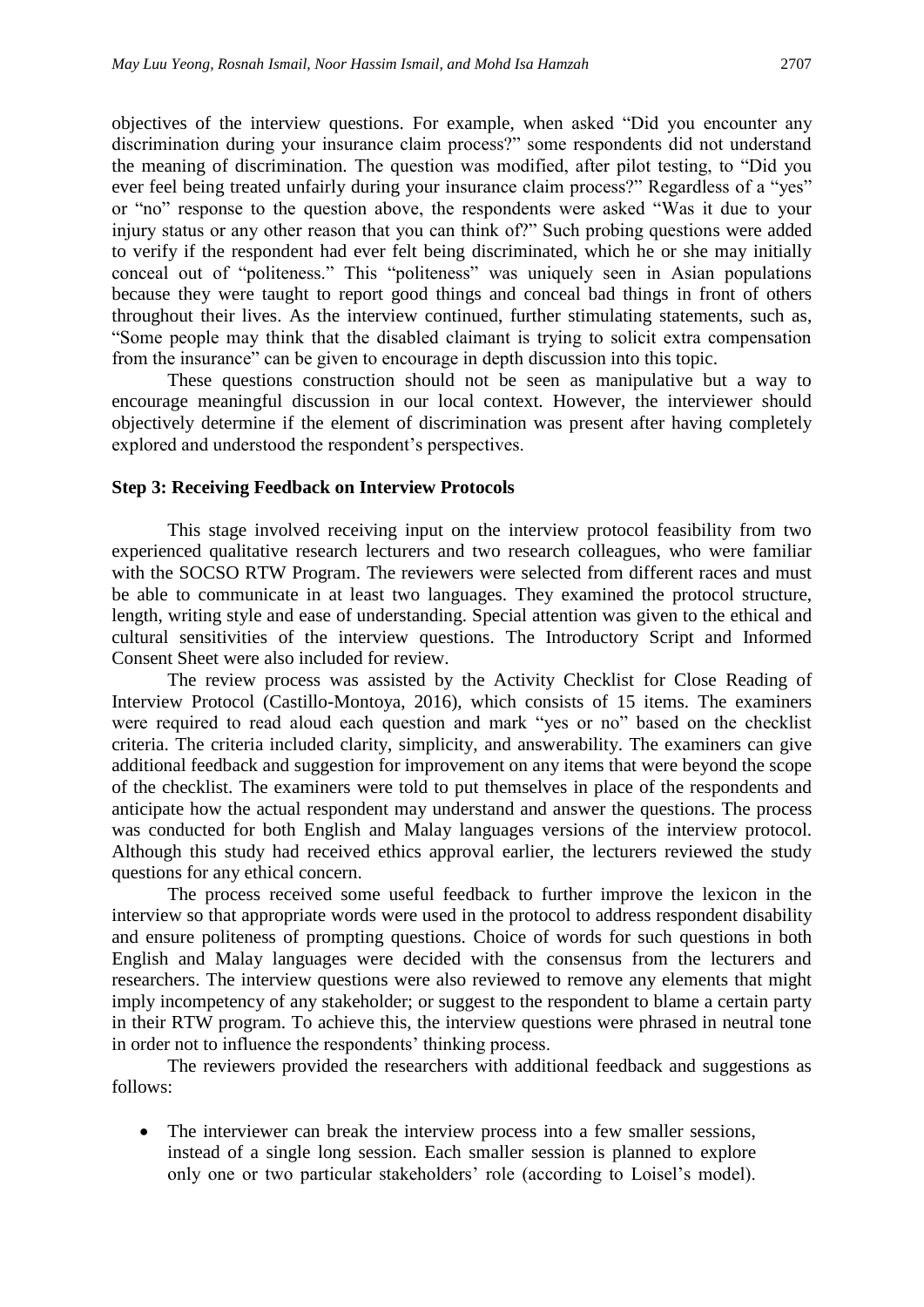objectives of the interview questions. For example, when asked "Did you encounter any discrimination during your insurance claim process?" some respondents did not understand the meaning of discrimination. The question was modified, after pilot testing, to "Did you ever feel being treated unfairly during your insurance claim process?" Regardless of a "yes" or "no" response to the question above, the respondents were asked "Was it due to your injury status or any other reason that you can think of?" Such probing questions were added to verify if the respondent had ever felt being discriminated, which he or she may initially conceal out of "politeness." This "politeness" was uniquely seen in Asian populations because they were taught to report good things and conceal bad things in front of others throughout their lives. As the interview continued, further stimulating statements, such as, "Some people may think that the disabled claimant is trying to solicit extra compensation from the insurance" can be given to encourage in depth discussion into this topic.

These questions construction should not be seen as manipulative but a way to encourage meaningful discussion in our local context. However, the interviewer should objectively determine if the element of discrimination was present after having completely explored and understood the respondent's perspectives.

#### **Step 3: Receiving Feedback on Interview Protocols**

This stage involved receiving input on the interview protocol feasibility from two experienced qualitative research lecturers and two research colleagues, who were familiar with the SOCSO RTW Program. The reviewers were selected from different races and must be able to communicate in at least two languages. They examined the protocol structure, length, writing style and ease of understanding. Special attention was given to the ethical and cultural sensitivities of the interview questions. The Introductory Script and Informed Consent Sheet were also included for review.

The review process was assisted by the Activity Checklist for Close Reading of Interview Protocol (Castillo-Montoya, 2016), which consists of 15 items. The examiners were required to read aloud each question and mark "yes or no" based on the checklist criteria. The criteria included clarity, simplicity, and answerability. The examiners can give additional feedback and suggestion for improvement on any items that were beyond the scope of the checklist. The examiners were told to put themselves in place of the respondents and anticipate how the actual respondent may understand and answer the questions. The process was conducted for both English and Malay languages versions of the interview protocol. Although this study had received ethics approval earlier, the lecturers reviewed the study questions for any ethical concern.

The process received some useful feedback to further improve the lexicon in the interview so that appropriate words were used in the protocol to address respondent disability and ensure politeness of prompting questions. Choice of words for such questions in both English and Malay languages were decided with the consensus from the lecturers and researchers. The interview questions were also reviewed to remove any elements that might imply incompetency of any stakeholder; or suggest to the respondent to blame a certain party in their RTW program. To achieve this, the interview questions were phrased in neutral tone in order not to influence the respondents' thinking process.

The reviewers provided the researchers with additional feedback and suggestions as follows:

• The interviewer can break the interview process into a few smaller sessions, instead of a single long session. Each smaller session is planned to explore only one or two particular stakeholders' role (according to Loisel's model).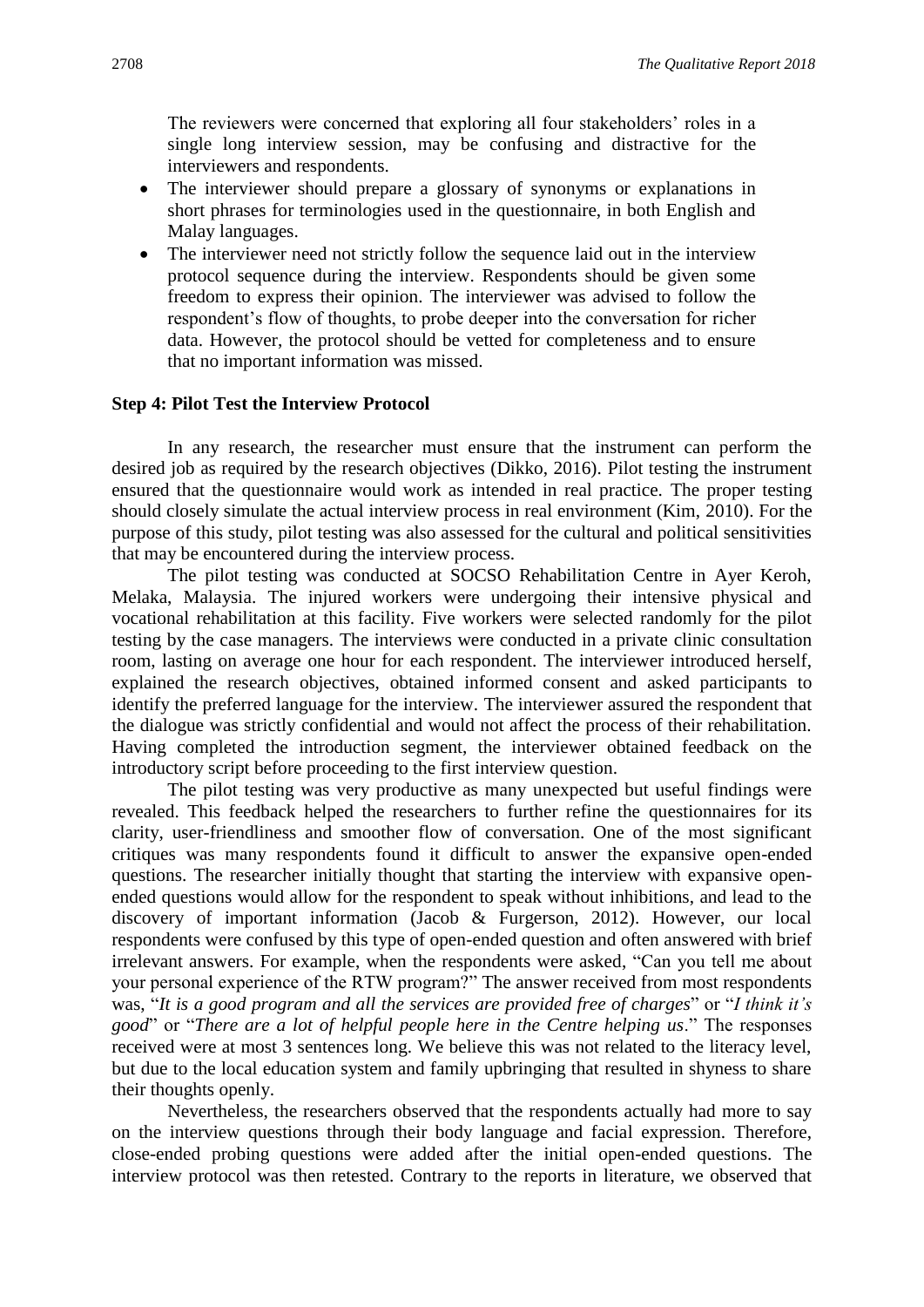The reviewers were concerned that exploring all four stakeholders' roles in a single long interview session, may be confusing and distractive for the interviewers and respondents.

- The interviewer should prepare a glossary of synonyms or explanations in short phrases for terminologies used in the questionnaire, in both English and Malay languages.
- The interviewer need not strictly follow the sequence laid out in the interview protocol sequence during the interview. Respondents should be given some freedom to express their opinion. The interviewer was advised to follow the respondent's flow of thoughts, to probe deeper into the conversation for richer data. However, the protocol should be vetted for completeness and to ensure that no important information was missed.

#### **Step 4: Pilot Test the Interview Protocol**

In any research, the researcher must ensure that the instrument can perform the desired job as required by the research objectives (Dikko, 2016). Pilot testing the instrument ensured that the questionnaire would work as intended in real practice. The proper testing should closely simulate the actual interview process in real environment (Kim, 2010). For the purpose of this study, pilot testing was also assessed for the cultural and political sensitivities that may be encountered during the interview process.

The pilot testing was conducted at SOCSO Rehabilitation Centre in Ayer Keroh, Melaka, Malaysia. The injured workers were undergoing their intensive physical and vocational rehabilitation at this facility. Five workers were selected randomly for the pilot testing by the case managers. The interviews were conducted in a private clinic consultation room, lasting on average one hour for each respondent. The interviewer introduced herself, explained the research objectives, obtained informed consent and asked participants to identify the preferred language for the interview. The interviewer assured the respondent that the dialogue was strictly confidential and would not affect the process of their rehabilitation. Having completed the introduction segment, the interviewer obtained feedback on the introductory script before proceeding to the first interview question.

The pilot testing was very productive as many unexpected but useful findings were revealed. This feedback helped the researchers to further refine the questionnaires for its clarity, user-friendliness and smoother flow of conversation. One of the most significant critiques was many respondents found it difficult to answer the expansive open-ended questions. The researcher initially thought that starting the interview with expansive openended questions would allow for the respondent to speak without inhibitions, and lead to the discovery of important information (Jacob & Furgerson, 2012). However, our local respondents were confused by this type of open-ended question and often answered with brief irrelevant answers. For example, when the respondents were asked, "Can you tell me about your personal experience of the RTW program?" The answer received from most respondents was, "*It is a good program and all the services are provided free of charges*" or "*I think it's good*" or "*There are a lot of helpful people here in the Centre helping us*." The responses received were at most 3 sentences long. We believe this was not related to the literacy level, but due to the local education system and family upbringing that resulted in shyness to share their thoughts openly.

Nevertheless, the researchers observed that the respondents actually had more to say on the interview questions through their body language and facial expression. Therefore, close-ended probing questions were added after the initial open-ended questions. The interview protocol was then retested. Contrary to the reports in literature, we observed that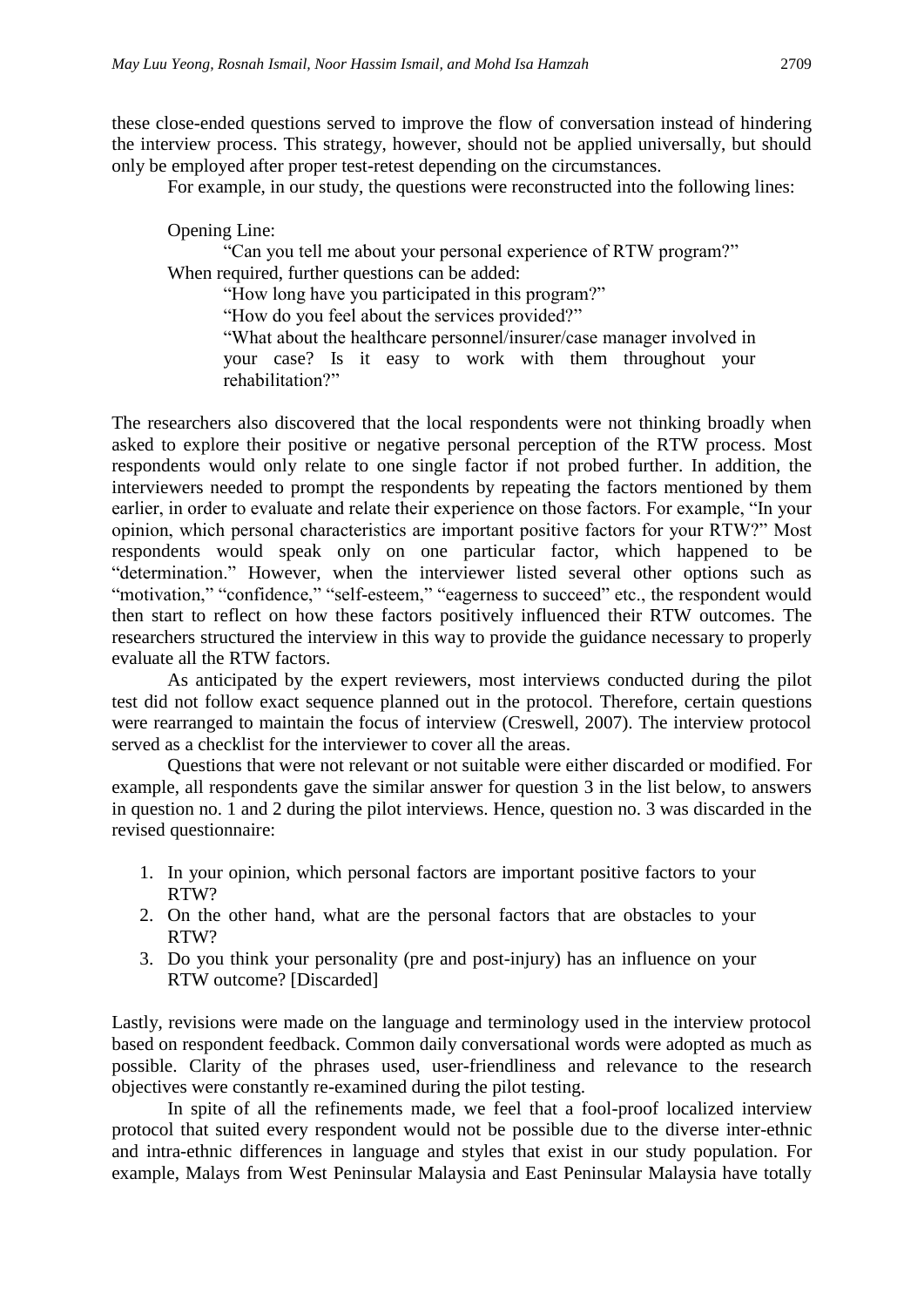these close-ended questions served to improve the flow of conversation instead of hindering the interview process. This strategy, however, should not be applied universally, but should only be employed after proper test-retest depending on the circumstances.

For example, in our study, the questions were reconstructed into the following lines:

Opening Line:

"Can you tell me about your personal experience of RTW program?" When required, further questions can be added:

"How long have you participated in this program?"

"How do you feel about the services provided?"

"What about the healthcare personnel/insurer/case manager involved in your case? Is it easy to work with them throughout your rehabilitation?"

The researchers also discovered that the local respondents were not thinking broadly when asked to explore their positive or negative personal perception of the RTW process. Most respondents would only relate to one single factor if not probed further. In addition, the interviewers needed to prompt the respondents by repeating the factors mentioned by them earlier, in order to evaluate and relate their experience on those factors. For example, "In your opinion, which personal characteristics are important positive factors for your RTW?" Most respondents would speak only on one particular factor, which happened to be "determination." However, when the interviewer listed several other options such as "motivation," "confidence," "self-esteem," "eagerness to succeed" etc., the respondent would then start to reflect on how these factors positively influenced their RTW outcomes. The researchers structured the interview in this way to provide the guidance necessary to properly evaluate all the RTW factors.

As anticipated by the expert reviewers, most interviews conducted during the pilot test did not follow exact sequence planned out in the protocol. Therefore, certain questions were rearranged to maintain the focus of interview (Creswell, 2007). The interview protocol served as a checklist for the interviewer to cover all the areas.

Questions that were not relevant or not suitable were either discarded or modified. For example, all respondents gave the similar answer for question 3 in the list below, to answers in question no. 1 and 2 during the pilot interviews. Hence, question no. 3 was discarded in the revised questionnaire:

- 1. In your opinion, which personal factors are important positive factors to your RTW?
- 2. On the other hand, what are the personal factors that are obstacles to your RTW?
- 3. Do you think your personality (pre and post-injury) has an influence on your RTW outcome? [Discarded]

Lastly, revisions were made on the language and terminology used in the interview protocol based on respondent feedback. Common daily conversational words were adopted as much as possible. Clarity of the phrases used, user-friendliness and relevance to the research objectives were constantly re-examined during the pilot testing.

In spite of all the refinements made, we feel that a fool-proof localized interview protocol that suited every respondent would not be possible due to the diverse inter-ethnic and intra-ethnic differences in language and styles that exist in our study population. For example, Malays from West Peninsular Malaysia and East Peninsular Malaysia have totally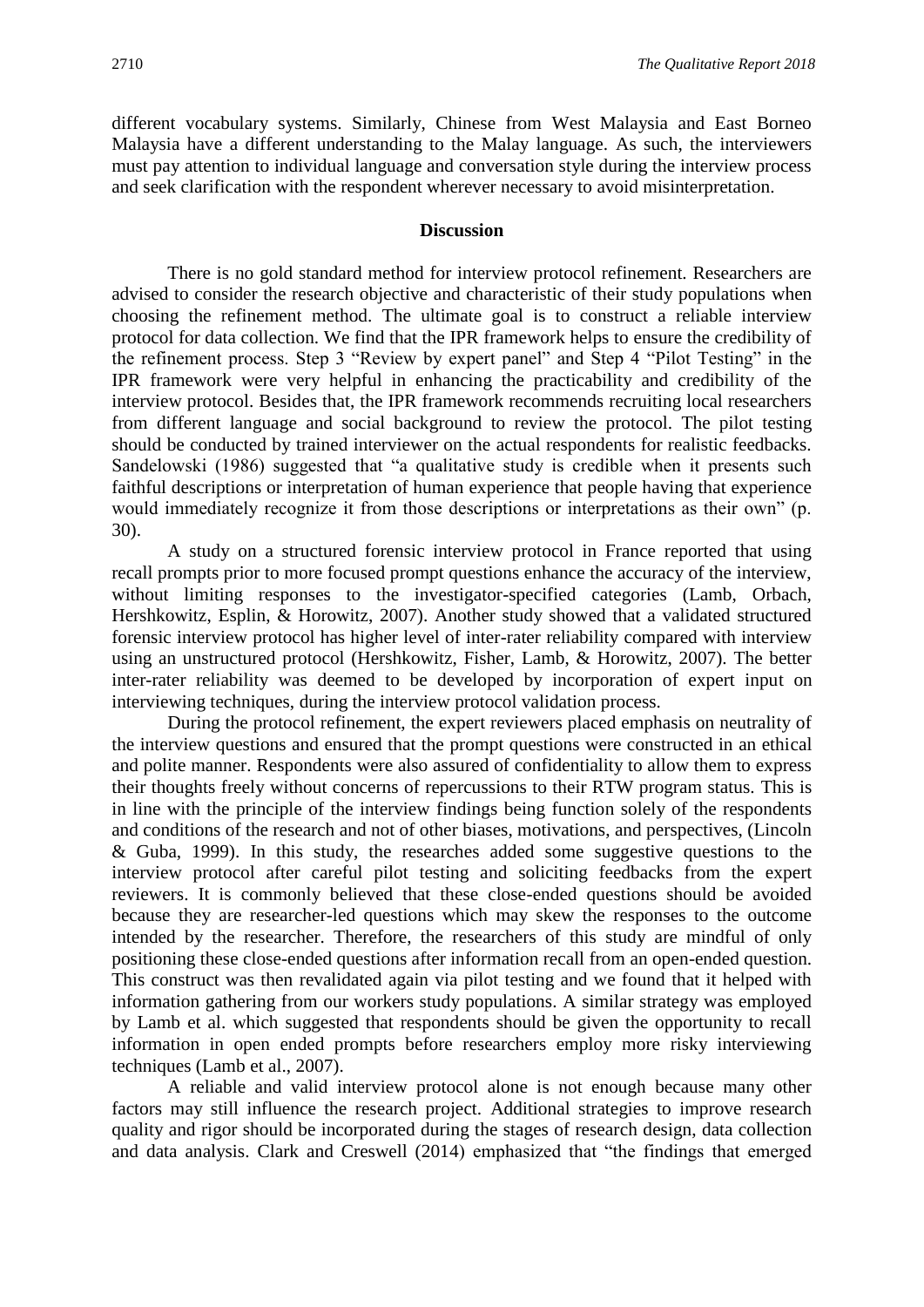different vocabulary systems. Similarly, Chinese from West Malaysia and East Borneo Malaysia have a different understanding to the Malay language. As such, the interviewers must pay attention to individual language and conversation style during the interview process and seek clarification with the respondent wherever necessary to avoid misinterpretation.

#### **Discussion**

There is no gold standard method for interview protocol refinement. Researchers are advised to consider the research objective and characteristic of their study populations when choosing the refinement method. The ultimate goal is to construct a reliable interview protocol for data collection. We find that the IPR framework helps to ensure the credibility of the refinement process. Step 3 "Review by expert panel" and Step 4 "Pilot Testing" in the IPR framework were very helpful in enhancing the practicability and credibility of the interview protocol. Besides that, the IPR framework recommends recruiting local researchers from different language and social background to review the protocol. The pilot testing should be conducted by trained interviewer on the actual respondents for realistic feedbacks. Sandelowski (1986) suggested that "a qualitative study is credible when it presents such faithful descriptions or interpretation of human experience that people having that experience would immediately recognize it from those descriptions or interpretations as their own" (p. 30).

A study on a structured forensic interview protocol in France reported that using recall prompts prior to more focused prompt questions enhance the accuracy of the interview, without limiting responses to the investigator-specified categories (Lamb, Orbach, Hershkowitz, Esplin, & Horowitz, 2007). Another study showed that a validated structured forensic interview protocol has higher level of inter-rater reliability compared with interview using an unstructured protocol (Hershkowitz, Fisher, Lamb, & Horowitz, 2007). The better inter-rater reliability was deemed to be developed by incorporation of expert input on interviewing techniques, during the interview protocol validation process.

During the protocol refinement, the expert reviewers placed emphasis on neutrality of the interview questions and ensured that the prompt questions were constructed in an ethical and polite manner. Respondents were also assured of confidentiality to allow them to express their thoughts freely without concerns of repercussions to their RTW program status. This is in line with the principle of the interview findings being function solely of the respondents and conditions of the research and not of other biases, motivations, and perspectives, (Lincoln & Guba, 1999). In this study, the researches added some suggestive questions to the interview protocol after careful pilot testing and soliciting feedbacks from the expert reviewers. It is commonly believed that these close-ended questions should be avoided because they are researcher-led questions which may skew the responses to the outcome intended by the researcher. Therefore, the researchers of this study are mindful of only positioning these close-ended questions after information recall from an open-ended question. This construct was then revalidated again via pilot testing and we found that it helped with information gathering from our workers study populations. A similar strategy was employed by Lamb et al. which suggested that respondents should be given the opportunity to recall information in open ended prompts before researchers employ more risky interviewing techniques (Lamb et al., 2007).

A reliable and valid interview protocol alone is not enough because many other factors may still influence the research project. Additional strategies to improve research quality and rigor should be incorporated during the stages of research design, data collection and data analysis. Clark and Creswell (2014) emphasized that "the findings that emerged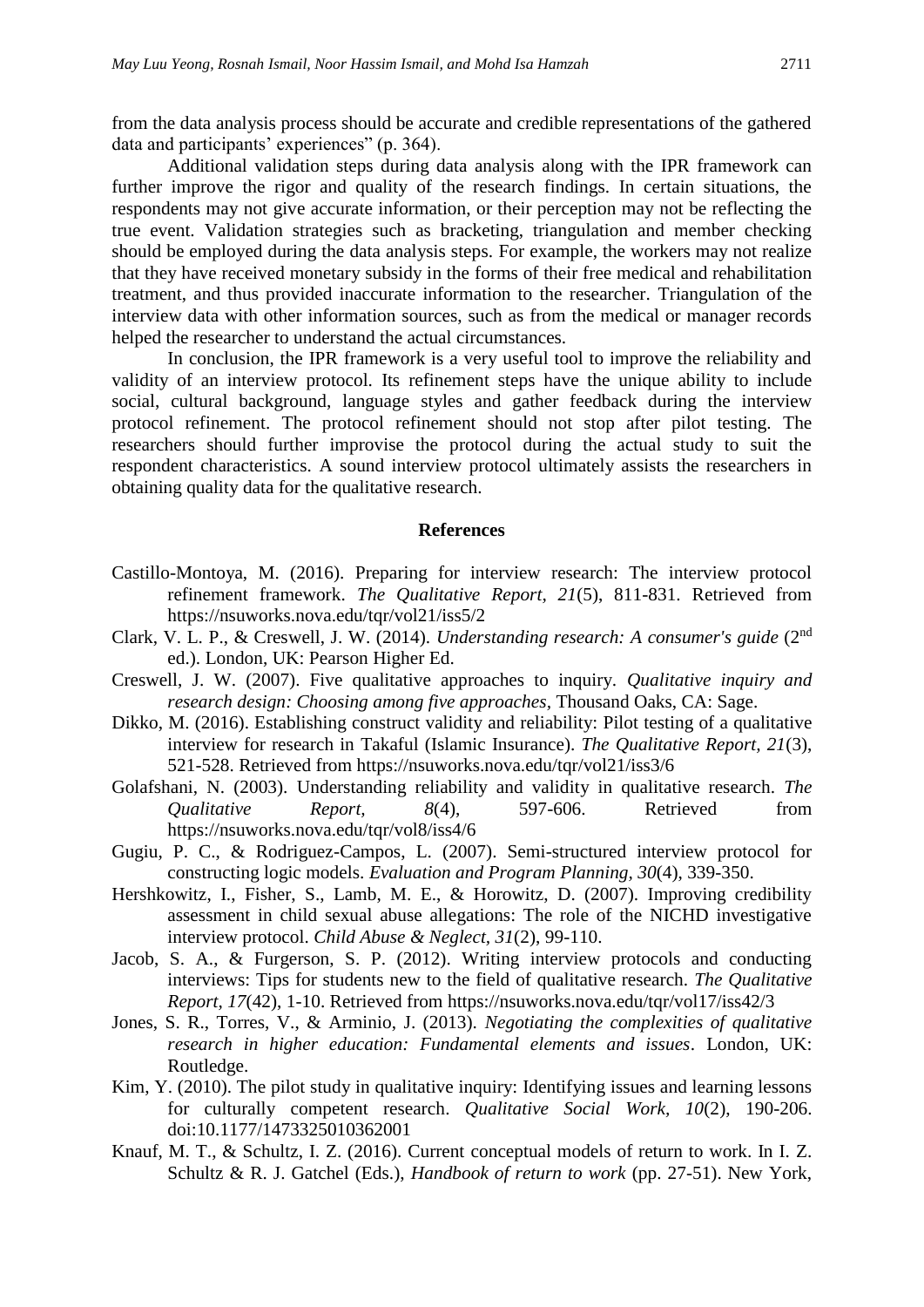from the data analysis process should be accurate and credible representations of the gathered data and participants' experiences" (p. 364).

Additional validation steps during data analysis along with the IPR framework can further improve the rigor and quality of the research findings. In certain situations, the respondents may not give accurate information, or their perception may not be reflecting the true event. Validation strategies such as bracketing, triangulation and member checking should be employed during the data analysis steps. For example, the workers may not realize that they have received monetary subsidy in the forms of their free medical and rehabilitation treatment, and thus provided inaccurate information to the researcher. Triangulation of the interview data with other information sources, such as from the medical or manager records helped the researcher to understand the actual circumstances.

In conclusion, the IPR framework is a very useful tool to improve the reliability and validity of an interview protocol. Its refinement steps have the unique ability to include social, cultural background, language styles and gather feedback during the interview protocol refinement. The protocol refinement should not stop after pilot testing. The researchers should further improvise the protocol during the actual study to suit the respondent characteristics. A sound interview protocol ultimately assists the researchers in obtaining quality data for the qualitative research.

#### **References**

- Castillo-Montoya, M. (2016). Preparing for interview research: The interview protocol refinement framework. *The Qualitative Report, 21*(5), 811-831. Retrieved from https://nsuworks.nova.edu/tqr/vol21/iss5/2
- Clark, V. L. P., & Creswell, J. W. (2014). *Understanding research: A consumer's guide* (2nd ed.). London, UK: Pearson Higher Ed.
- Creswell, J. W. (2007). Five qualitative approaches to inquiry. *Qualitative inquiry and research design: Choosing among five approaches,* Thousand Oaks, CA: Sage.
- Dikko, M. (2016). Establishing construct validity and reliability: Pilot testing of a qualitative interview for research in Takaful (Islamic Insurance). *The Qualitative Report, 21*(3), 521-528. Retrieved from https://nsuworks.nova.edu/tqr/vol21/iss3/6
- Golafshani, N. (2003). Understanding reliability and validity in qualitative research. *The Qualitative Report, 8*(4), 597-606. Retrieved from https://nsuworks.nova.edu/tqr/vol8/iss4/6
- Gugiu, P. C., & Rodriguez-Campos, L. (2007). Semi-structured interview protocol for constructing logic models. *Evaluation and Program Planning, 30*(4), 339-350.
- Hershkowitz, I., Fisher, S., Lamb, M. E., & Horowitz, D. (2007). Improving credibility assessment in child sexual abuse allegations: The role of the NICHD investigative interview protocol. *Child Abuse & Neglect, 31*(2), 99-110.
- Jacob, S. A., & Furgerson, S. P. (2012). Writing interview protocols and conducting interviews: Tips for students new to the field of qualitative research. *The Qualitative Report, 17*(42), 1-10. Retrieved from https://nsuworks.nova.edu/tqr/vol17/iss42/3
- Jones, S. R., Torres, V., & Arminio, J. (2013). *Negotiating the complexities of qualitative research in higher education: Fundamental elements and issues*. London, UK: Routledge.
- Kim, Y. (2010). The pilot study in qualitative inquiry: Identifying issues and learning lessons for culturally competent research. *Qualitative Social Work, 10*(2), 190-206. doi:10.1177/1473325010362001
- Knauf, M. T., & Schultz, I. Z. (2016). Current conceptual models of return to work. In I. Z. Schultz & R. J. Gatchel (Eds.), *Handbook of return to work* (pp. 27-51). New York,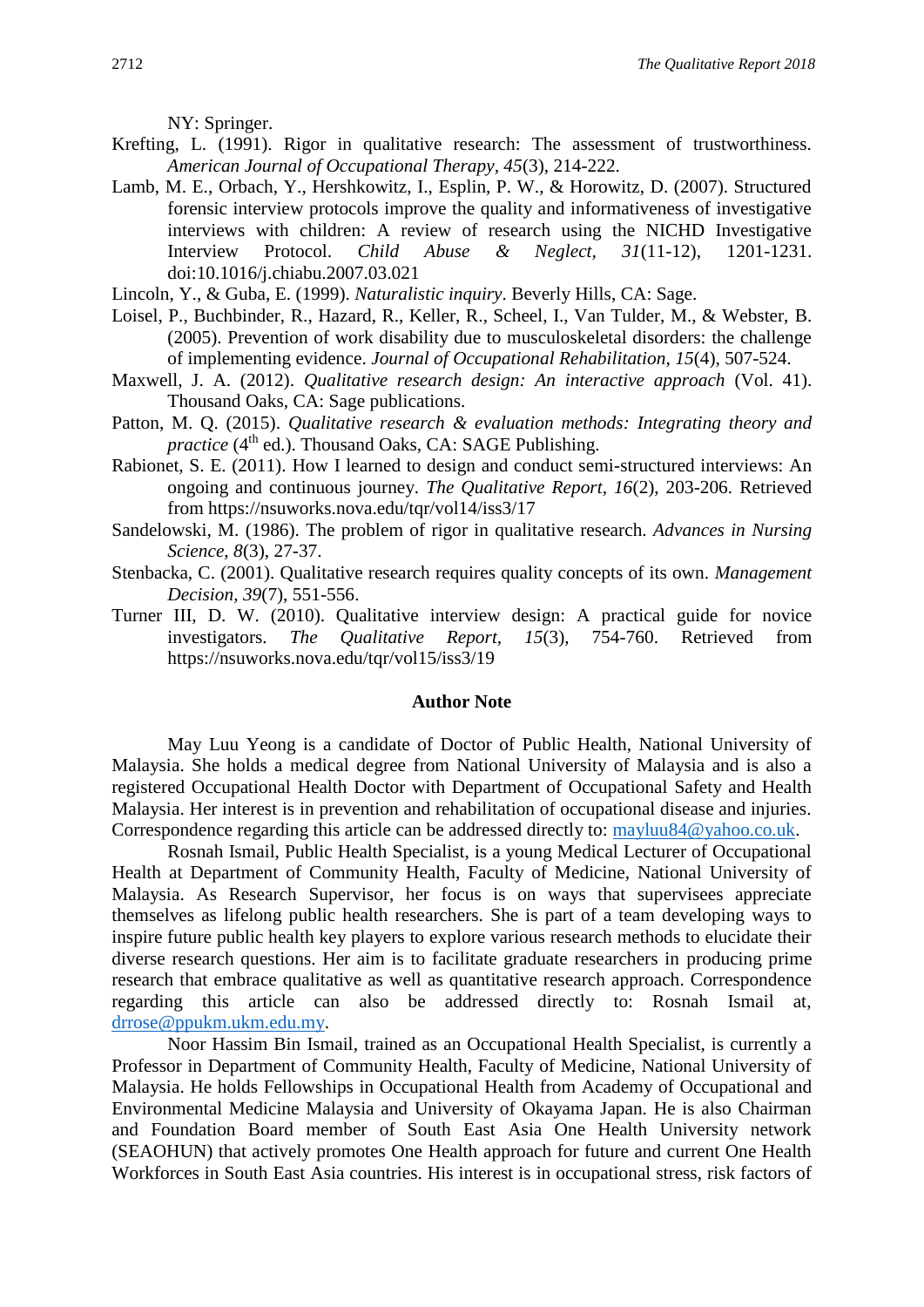NY: Springer.

- Krefting, L. (1991). Rigor in qualitative research: The assessment of trustworthiness. *American Journal of Occupational Therapy, 45*(3), 214-222.
- Lamb, M. E., Orbach, Y., Hershkowitz, I., Esplin, P. W., & Horowitz, D. (2007). Structured forensic interview protocols improve the quality and informativeness of investigative interviews with children: A review of research using the NICHD Investigative Interview Protocol. *Child Abuse & Neglect, 31*(11-12), 1201-1231. doi:10.1016/j.chiabu.2007.03.021
- Lincoln, Y., & Guba, E. (1999). *Naturalistic inquiry*. Beverly Hills, CA: Sage.
- Loisel, P., Buchbinder, R., Hazard, R., Keller, R., Scheel, I., Van Tulder, M., & Webster, B. (2005). Prevention of work disability due to musculoskeletal disorders: the challenge of implementing evidence. *Journal of Occupational Rehabilitation, 15*(4), 507-524.
- Maxwell, J. A. (2012). *Qualitative research design: An interactive approach* (Vol. 41). Thousand Oaks, CA: Sage publications.
- Patton, M. Q. (2015). *Qualitative research & evaluation methods: Integrating theory and practice* (4<sup>th</sup> ed.). Thousand Oaks, CA: SAGE Publishing.
- Rabionet, S. E. (2011). How I learned to design and conduct semi-structured interviews: An ongoing and continuous journey. *The Qualitative Report, 16*(2), 203-206. Retrieved from https://nsuworks.nova.edu/tqr/vol14/iss3/17
- Sandelowski, M. (1986). The problem of rigor in qualitative research. *Advances in Nursing Science*, *8*(3), 27-37.
- Stenbacka, C. (2001). Qualitative research requires quality concepts of its own. *Management Decision, 39*(7), 551-556.
- Turner III, D. W. (2010). Qualitative interview design: A practical guide for novice investigators. *The Qualitative Report, 15*(3), 754-760. Retrieved from https://nsuworks.nova.edu/tqr/vol15/iss3/19

#### **Author Note**

May Luu Yeong is a candidate of Doctor of Public Health, National University of Malaysia. She holds a medical degree from National University of Malaysia and is also a registered Occupational Health Doctor with Department of Occupational Safety and Health Malaysia. Her interest is in prevention and rehabilitation of occupational disease and injuries. Correspondence regarding this article can be addressed directly to: [mayluu84@yahoo.co.uk.](mailto:mayluu84@yahoo.co.uk)

Rosnah Ismail, Public Health Specialist, is a young Medical Lecturer of Occupational Health at Department of Community Health, Faculty of Medicine, National University of Malaysia. As Research Supervisor, her focus is on ways that supervisees appreciate themselves as lifelong public health researchers. She is part of a team developing ways to inspire future public health key players to explore various research methods to elucidate their diverse research questions. Her aim is to facilitate graduate researchers in producing prime research that embrace qualitative as well as quantitative research approach. Correspondence regarding this article can also be addressed directly to: Rosnah Ismail at, [drrose@ppukm.ukm.edu.my.](mailto:drrose@ppukm.ukm.edu.my)

Noor Hassim Bin Ismail, trained as an Occupational Health Specialist, is currently a Professor in Department of Community Health, Faculty of Medicine, National University of Malaysia. He holds Fellowships in Occupational Health from Academy of Occupational and Environmental Medicine Malaysia and University of Okayama Japan. He is also Chairman and Foundation Board member of South East Asia One Health University network (SEAOHUN) that actively promotes One Health approach for future and current One Health Workforces in South East Asia countries. His interest is in occupational stress, risk factors of